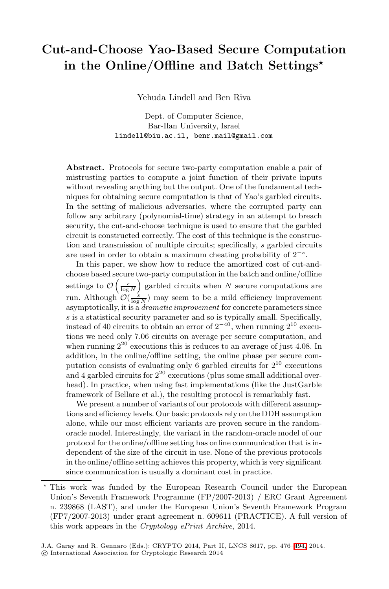# **Cut-and-Choose Yao-Based Secure Computation in the Online/Offline and Batch Settings***-*

Yehuda Lindell and Ben Riva

Dept. of Computer Science, Bar-Ilan University, Israel lindell@biu.ac.il, benr.mail@gmail.com

**Abstract.** Protocols for secure two-party computation enable a pair of mistrusting parties to compute a joint function of their private inputs without revealing anything but the output. One of the fundamental techniques for obtaining secure computation is that of Yao's garbled circuits. In the setting of malicious adversaries, where the corrupted party can follow any arbitrary (polynomial-time) strategy in an attempt to breach security, the cut-and-choose technique is used to ensure that the garbled circuit is constructed correctly. The cost of this technique is the construction and transmission of multiple circuits; specifically, *s* garbled circuits are used in order to obtain a maximum cheating probability of 2*−*<sup>s</sup>.

In this paper, we show how to reduce the amortized cost of cut-andchoose based secure two-party computation in the batch and online/offline settings to  $\mathcal{O}\left(\frac{s}{\log N}\right)$  garbled circuits when *N* secure computations are run. Although  $\mathcal{O}(\frac{s}{\log N})$  may seem to be a mild efficiency improvement<br>assumptotically it is a *dramatic improvement* for concrete parameters since asymptotically, it is a *dramatic improvement* for concrete parameters since *s* is a statistical security parameter and so is typically small. Specifically, instead of 40 circuits to obtain an error of 2*<sup>−</sup>*40, when running 210 executions we need only 7*.*06 circuits on average per secure computation, and when running  $2^{20}$  executions this is reduces to an average of just 4.08. In addition, in the online/offline setting, the online phase per secure computation consists of evaluating only 6 garbled circuits for  $2^{10}$  executions and 4 garbled circuits for  $2^{20}$  executions (plus some small additional overhead). In practice, when using fast implementations (like the JustGarble framework of Bellare et al.), the resulting protocol is remarkably fast.

We present a number of variants of our protocols with different assumptions and efficiency levels. Our basic protocols rely on the DDH assumption alone, while our most efficient variants are proven secure in the randomoracle model. Interestingly, the variant in the random-oracle model of our protocol for the online/offline setting has online communication that is independent of the size of the circuit in use. None of the previous protocols in the online/offline setting achieves this prop[erty,](#page-18-0) which is very significant since communication is usually a dominant cost in practice.

 $\star$  This work was funded by the European Research Council under the European Union's Seventh Framework Programme (FP/2007-2013) / ERC Grant Agreement n. 239868 (LAST), and under the European Union's Seventh Framework Program (FP7/2007-2013) under grant agreement n. 609611 (PRACTICE). A full version of this work appears in the *Cryptology ePrint Archive*, 2014.

J.A. Garay and R. Gennaro (Eds.): CRYPTO 2014, Part II, LNCS 8617, pp. 476–494, 2014. -c International Association for Cryptologic Research 2014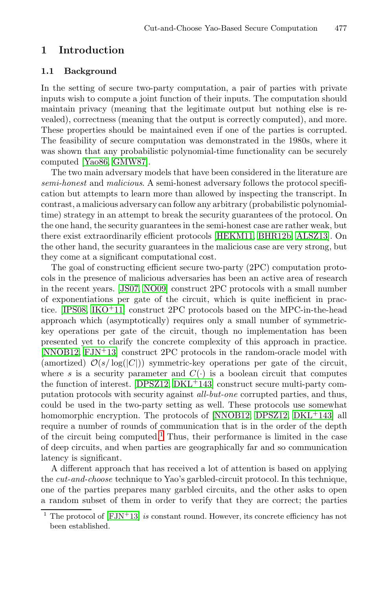# **1 Introduction**

### **1.1 Background**

[In](#page-17-0) [the](#page-17-0) [set](#page-17-0)ting of secure two-party computation, a pair of parties with private inputs wish to compute a joint function of their inputs. The computation should maintain privacy (meaning that the legitimate output but nothing else is revealed), correctness (meaning that the output is correctly computed), and more. These properties should be maintained even if one of the parties is corrupted. The feasibility of secure computation was demonstrated in the 1980s, where it was shown that any proba[bilistic poly](#page-17-1)[nomial-ti](#page-17-2)[me functio](#page-16-0)nality can be securely computed [Yao86, GMW87].

The two main adversary models that have been considered in the literature are *semi-honest* and *malicious*. A semi-honest adversary follows the protocol specification but attempts to learn more than allowed by inspecting the transcript. In co[ntrast](#page-17-3)[, a mali](#page-18-1)cious adversary can follow any arbitrary (probabilistic polynomialtime) strategy in an attempt to break the security guarantees of the protocol. On [the](#page-17-4) one hand, the security guarantees in the semi-honest case are rather weak, but there exist extraordinarily efficient protocols [HEKM11, BHR12b, ALSZ13]. On the other hand, the security guarantees in the malicious case are very strong, but they come at a significant computational cost.

The goal of constructing efficient secure two-party (2PC) computation proto[co](#page-17-5)ls in the presence of malicious adversaries has been an active area of research in the recent years. [JS07, NO09] construct 2PC protocols with a small number of exp[onentiati](#page-17-6)[ons per gat](#page-17-7)e of the circuit, which is quite inefficient in practice. [IPS08, IKO<sup>+</sup>11] construct 2PC protocols based on the MPC-in-the-head approach which (asymptotically) requires only a small number of symmetrickey operations per gate [of the circ](#page-18-2)[uit, thoug](#page-17-6)[h no impl](#page-17-7)ementation has been presented yet to clarify the concrete complexity of this approach in practice. [NNOB12, [FJN](#page-1-0)<sup>+</sup>13] construct 2PC protocols in the random-oracle model with (amortized)  $\mathcal{O}(s/\log(|C|))$  symmetric-key operations per gate of the circuit, where s is a security parameter and  $C(\cdot)$  is a boolean circuit that computes the function of interest. [DPSZ12, DKL<sup>+</sup>143] construct secure multi-party computation protocols with security against *all-but-one* corrupted parties, and thus, could be used in the two-party setting as well. These protocols use somewhat homomorphic encryption. The protocols of [NNOB12, DPSZ12, DKL<sup>+</sup>143] all require a number of rounds of communication that is in the order of the depth [of the c](#page-17-5)ircuit being computed.<sup>1</sup> Thus, their performance is limited in the case of deep circuits, and when parties are geographically far and so communication latency is significant.

<span id="page-1-0"></span>A different approach that has received a lot of attention is based on applying the *cut-and-choose* technique to Yao's garbled-circuit protocol. In this technique, one of the parties prepares many garbled circuits, and the other asks to open a random subset of them in order to verify that they are correct; the parties

The protocol of  $[FJN+13]$  *is* constant round. However, its concrete efficiency has not been established.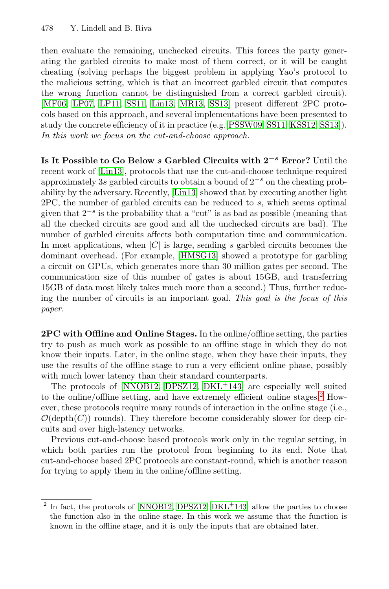then evaluate the remaining, [unchecked](#page-18-6) [circu](#page-18-3)[its.](#page-17-10) [Thi](#page-17-10)[s](#page-18-5) [forc](#page-18-5)es the party generating the garbled circuits to make most of them correct, or it will be caught cheating (solving perhaps the biggest problem in applying Yao's protocol to the malicious setting, which is that an incorrect garbled circuit that computes [the](#page-17-9) wrong function cannot be distinguished from a correct garbled circuit). [MF06, LP07, LP11, SS11, Lin13, MR13, SS13] present different 2PC protocols based on thi[s](#page-17-9) [appr](#page-17-9)oach, and several implementations have been presented to study the concrete efficiency of it in practice (e.g.[PSSW09, SS11, KSS12, SS13]). *In this work we focus on the cut-and-choose approach.*

**Is It Possible to Go Below** *s* **Garbled Circuits with 2***−<sup>s</sup>* **Error?** Until the recent work of [Li[n13\], proto](#page-17-11)cols that use the cut-and-choose technique required approximately 3s garbled circuits to obtain a bound of  $2^{-s}$  on the cheating probability by the adversary. Recently, [Lin13] showed that by executing another light 2PC, the number of garbled circuits can be reduced to s, which seems optimal given that  $2^{-s}$  is the probability that a "cut" is as bad as possible (meaning that all the checked circuits are good and all the unchecked circuits are bad). The number of garbled circuits affects both computation time and communication. In most applications, when  $|C|$  is large, sending s garbled circuits becomes the dominant overhead. (For example, [HMSG13] showed a prototype for garbling a circuit on GPUs, which generates more than 30 million gates per second. The communication size of this number of gates is about 15GB, and transferring 15GB of data most likely takes much more than a second.) Thus, further reducing the numb[er](#page-17-6) [of](#page-17-6) [circ](#page-17-6)[uits is an im](#page-17-7)portant goal. *This goal is the focus of this pa[per.](#page-18-2)*

**2PC with Offline and Online Stages.** In the online/offline setting, the parties try to push as much work as possible to an offline stage in which they do not know their inputs. Later, in the online stage, when they have their inputs, they use the results of the offline stage to run a very efficient online phase, possibly with much lower latency than their standard counterparts.

The protocols of [NNOB12, DPSZ12, DKL<sup>+</sup>143] are especially well suited to the online/offline setting, and have extremely efficient online stages.<sup>2</sup> However, these protocols require many rounds of interaction in the online stage (i.e.,  $\mathcal{O}(\text{depth}(C))$  rounds). They therefore become considerably slower for deep circuits a[nd](#page-18-2) [over](#page-18-2) [hi](#page-18-2)[gh-latenc](#page-17-6)[y](#page-17-7) [network](#page-17-7)s.

Previous cut-and-choose based protocols work only in the regular setting, in which both parties run the protocol from beginning to its end. Note that cut-and-choose based 2PC protocols are constant-round, which is another reason for trying to apply them in the online/offline setting.

 $^{2}$  In fact, the protocols of [NNOB12, DPSZ12, DKL<sup>+</sup>143] allow the parties to choose the function also in the online stage. In this work we assume that the function is known in the offline stage, and it is only the inputs that are obtained later.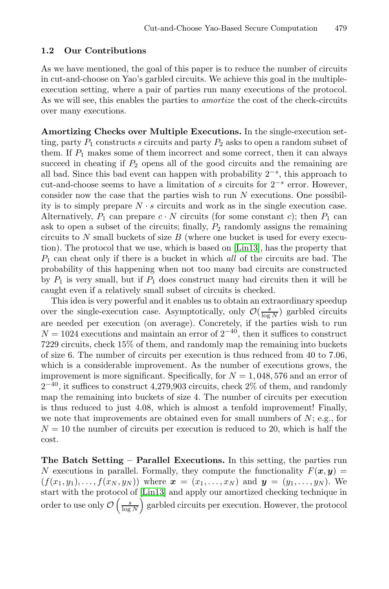# **1.2 Our Contributions**

As we have mentioned, the goal of this paper is to reduce the number of circuits in cut-and-choose on Yao's garbled circuits. We achieve this goal in the multipleexecution setting, where a pair of parties run many executions of the protocol. As we will see, this enables the parties to *amortize* the cost of the check-circuits over many executions.

**Amortizing Checks over Multiple Executions.** In the single-execution setting, party  $P_1$  constructs s circuits and party  $P_2$  asks to open a random subset of them. If  $P_1$  makes some of them incorrect and some correct, then it can always succeed in cheating if  $P_2$  opens [all of](#page-17-9) the good circuits and the remaining are all bad. Since this bad event can happen with probability  $2^{-s}$ , this approach to cut-and-choose seems to have a limitation of s circuits for  $2^{-s}$  error. However, consider now the case that the parties wish to run  $N$  executions. One possibility is to simply prepare  $N \cdot s$  circuits and work as in the single execution case. Alternatively,  $P_1$  can prepare  $c \cdot N$  circuits (for some constant c); then  $P_1$  can ask to open a subset of the circuits; finally,  $P_2$  randomly assigns the remaining circuits to  $N$  small buckets of size  $B$  (where one bucket is used for every execution). The protocol that we use, which is based on [Lin13], has the property that P<sup>1</sup> can cheat only if there is a bucket in which *all* of the circuits are bad. The probability of this happening when not too many bad circuits are constructed by  $P_1$  is very small, but if  $P_1$  does construct many bad circuits then it will be caught even if a relatively small subset of circuits is checked.

This idea is very powerful and it enables us to obtain an extraordinary speedup over the single-execution case. Asymptotically, only  $\mathcal{O}(\frac{s}{\log N})$  garbled circuits are needed per execution (on average). Concretely, if the parties wish to run  $N = 1024$  executions and maintain an error of  $2^{-40}$ , then it suffices to construct 7229 circuits, check 15% of them, and randomly map the remaining into buckets of size 6. The number of circuits per execution is thus reduced from 40 to 7.06, which is a considerable improvement. As the number of executions grows, the improvement is more significant. Specifically, for  $N = 1,048,576$  and an error of  $2^{-40}$ , it suffices to construct 4,279,903 circuits, check 2\% of them, and randomly map the remaining into buckets of size 4. The number of circuits per execution is thus [reduce](#page-17-9)d to just 4.08, which is almost a tenfold improvement! Finally, we note that improvements are obtained even for small numbers of  $N$ ; e.g., for  $N = 10$  the number of circuits per execution is reduced to 20, which is half the cost.

**The Batch Setting – Parallel Executions.** In this setting, the parties run N executions in parallel. Formally, they compute the functionality  $F(x, y) =$  $(f(x_1, y_1),...,f(x_N, y_N))$  where  $\mathbf{x} = (x_1,...,x_N)$  and  $\mathbf{y} = (y_1,...,y_N)$ . We start with the protocol of [Lin13] and apply our amortized checking technique in order to use only  $\mathcal{O}\left(\frac{s}{\log N}\right)$  garbled circuits per execution. However, the protocol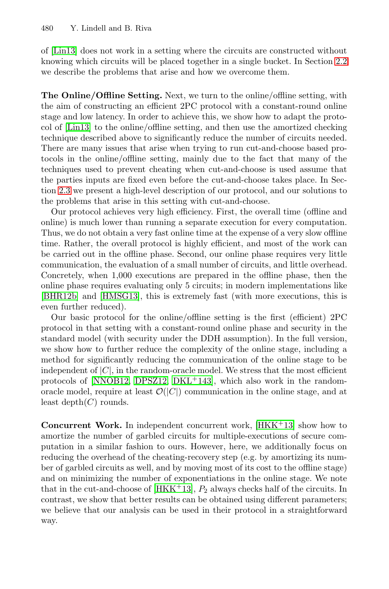of [Lin13] does not work in a setting where the circuits are constructed without knowing which circuits will be placed together in a single bucket. In Section 2.2 we describe the problems that arise and how we overcome them.

**The Online/Offline Setting.** Next, we turn to the online/offline setting, with the aim of constructing an efficient 2PC protocol with a constant-round online stage and low latency. In order to achieve this, we show how to adapt the protocol of [Lin13] to the online/offline setting, and then use the amortized checking technique described above to significantly reduce the number of circuits needed. There are many issues that arise when trying to run cut-and-choose based protocols in the online/offline setting, mainly due to the fact that many of the techniques used to prevent cheating when cut-and-choose is used assume that the parties inputs are fixed even before the cut-and-choose takes place. In Section 2.3 we present a high-level description of our protocol, and our solutions to the problems that arise in this setting with cut-and-choose.

[Our p](#page-17-11)rotocol achieves very high efficiency. First, the overall time (offline and online) is much lower than running a separate execution for every computation. Thus, we do not obtain a very fast online time at the expense of a very slow offline time. Rather, the overall protocol is highly efficient, and most of the work can be carried out in the offline phase. Second, our online phase requires very little communication, the evaluation of a small number of circuits, and little overhead. Concretely, when 1,000 executions are prepared in the offline phase, then the online phase requires evaluating only 5 circuits; in modern implementations like [\[BHR](#page-18-2)[12b\] and](#page-17-6) [[HMSG13\],](#page-17-7) this is extremely fast (with more executions, this is even further reduced).

Our basic protocol for the online/offline setting is the first (efficient) 2PC protocol in that setting with a constant-round online phase and security in the standard model (with security under [the DDH a](#page-17-12)ssumption). In the full version, we show how to further reduce the complexity of the online stage, including a method for significantly reducing the communication of the online stage to be independent of  $|C|$ , in the random-oracle model. We stress that the most efficient protocols of [NNOB12, DPSZ12, DKL<sup>+</sup>143], which also work in the randomoracle model, require at least  $\mathcal{O}(|C|)$  communication in the online stage, and at least depth $(C)$  rounds.

**Concurrent Work.** In independent concurrent work, [HKK<sup>+</sup>13] show how to amortize the number of garbled circuits for multiple-executions of secure computation in a similar fashion to ours. However, here, we additionally focus on reducing the overhead of the cheating-recovery step (e.g. by amortizing its number of garbled circuits as well, and by moving most of its cost to the offline stage) and on minimizing the number of exponentiations in the online stage. We note that in the cut-and-choose of  $[HKK^+13], P_2$  always checks half of the circuits. In contrast, we show that better results can be obtained using different parameters; we believe that our analysis can be used in their protocol in a straightforward way.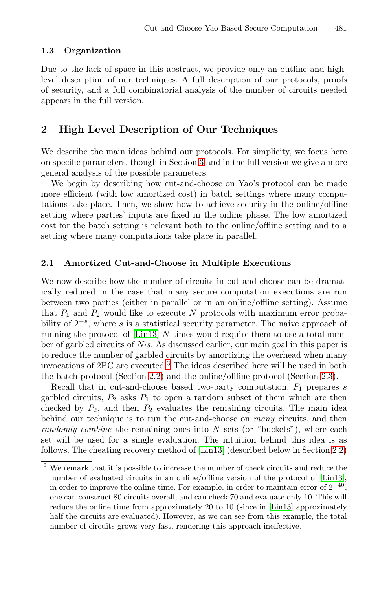## **1.3 Organization**

Due to the lack of space in this abstract, we provide only an outline and highlevel description of ou[r t](#page-14-0)echniques. A full description of our protocols, proofs of security, and a full combinatorial analysis of the number of circuits needed appears in the full version.

# **2 High Level Description of Our Techniques**

We describe the main ideas behind our protocols. For simplicity, we focus here on specific parameters, though in Section 3 and in the full version we give a more general analysis of the possible parameters.

We begin by describing how cut-and-choose on Yao's protocol can be made more efficient (with low amortized cost) in batch settings where many computations take place. Then, we show how to achieve security in the online/offline setting where parties' inputs are fixed in the online phase. The low amortized cost for the batch setting is relevant both to the online/offline setting and to a setting where many computations take place in parallel.

### **2.1 Amortized Cut-and-Choose in Multiple Executions**

<span id="page-5-0"></span>We now descr[ib](#page-5-0)e how the number of circuits in cut-and-choose can be dramatically red[uced](#page-8-0) in the case that many secure comput[ation](#page-10-0) executions are run between two parties (either in parallel or in an online/offline setting). Assume that  $P_1$  and  $P_2$  would like to execute N protocols with maximum error probability of  $2^{-s}$ , where s is a statistical security parameter. The naive approach of running the protocol of  $\text{Lin}13$  N times would require them to use a total number of garbled circuits of N·s. As discussed earlier, our main goal in this paper is to reduce the number of garbled circuits by amortizing the overhead when many invocations of 2PC are [execut](#page-17-9)ed.<sup>3</sup> The ideas described he[re w](#page-8-0)ill be used in both the batch protocol (Section 2.2) and the online/offline protocol (Section 2.3).

Recall that in cut-and-choose based two-party computation,  $P_1$  prepares s garbled circuits,  $P_2$  asks  $P_1$  to open a random subset [of the](#page-17-9)m which are then checked by  $P_2$ , and then  $P_2$  evaluates the remaining circuits. The main idea behind our technique is to run the cut-and-choose on *many* circuits, and then *randomly combine* the remaining ones i[nto](#page-17-9) N sets (or "buckets"), where each set will be used for a single evaluation. The intuition behind this idea is as follows. The cheating recovery method of [Lin13] (described below in Section 2.2)

<sup>&</sup>lt;sup>3</sup> We remark that it is possible to increase the number of check circuits and reduce the number of evaluated circuits in an online/offline version of the protocol of [Lin13], in order to improve the online time. For example, in order to maintain error of 2*<sup>−</sup>*40, one can construct 80 circuits overall, and can check 70 and evaluate only 10. This will reduce the online time from approximately 20 to 10 (since in [Lin13] approximately half the circuits are evaluated). However, as we can see from this example, the total number of circuits grows very fast, rendering this approach ineffective.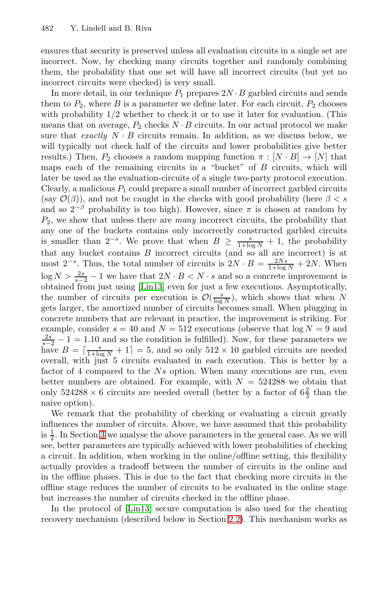ensures that security is preserved unless all evaluation circuits in a single set are incorrect. Now, by checking many circuits together and randomly combining them, the probability that one set will have all incorrect circuits (but yet no incorrect circuits were checked) is very small.

In more detail, in our technique  $P_1$  prepares  $2N \cdot B$  garbled circuits and sends them to  $P_2$ , where B is a parameter we define later. For each circuit,  $P_2$  chooses with probability  $1/2$  whether to check it or to use it later for evaluation. (This means that on average,  $P_2$  checks  $N \cdot B$  circuits. In our actual protocol we make sure that *exactly*  $N \cdot B$  circuits remain. In addition, as we discuss below, we will typically not check half of the circuits and lower probabilities give better results.) Then,  $P_2$  chooses a random mapping function  $\pi : [N \cdot B] \to [N]$  that maps each of the remaining circuits in a "bucket" of  $B$  circuits, which will later be used as the evaluation-circuits of a single two-party protocol execution. Clearly, a malicious  $P_1$  could prepare a small number of incorrect garbled circuits (say  $\mathcal{O}(\beta)$ ), and not be caught in the checks with good probability (here  $\beta < s$ and so  $2^{-\beta}$  probability is too high). However, since  $\pi$  is chosen at random by P2, we show that unless there are *many* incorrect circuits, the probability that any one of the buckets contains only incorrectly constructed garbled circuits is smaller than  $2^{-s}$ . We prove that when  $B \geq \frac{s}{1+\log N} + 1$ , the probability that any bucket contains  $B$  incorrect circuits (and so all are incorrect) is at most  $2^{-s}$ . Thus, the total number of circuits is  $2N \cdot B = \frac{2Ns}{1+\log N} + 2N$ . When  $\log N > \frac{2s}{s-2} - 1$  we have that  $2N \cdot B < N \cdot s$  and so a concrete improvement is obtained from just using [Lin13] even for just a few executions. Asymptotically, the number of circuits per execution is  $\mathcal{O}(\frac{s}{\log N})$ , which shows that when N gets larger, the amortized number of circuits becomes small. When plugging in concrete numbers that are relevant in practice, the improvement is striking. For example, consider  $s = 40$  and  $N = 512$  executions (observe that  $log N = 9$  and  $\frac{2s}{s-2} - 1 = 1.10$  and so the condition is fulfilled). Now, for these parameters we have  $B = \left[\frac{s}{1+\log N} + 1\right] = 5$ , and so only  $512 \times 10$  garbled circuits are needed overall, with just 5 circuits evaluated in each execution. This is better by a factor of 4 compared to the Ns option. When many executions are run, even better numbers are obtained. For example, with  $N = 524288$  we obtain that only 524288  $\times$  6 circuits are needed overall (better by a factor of  $6\frac{2}{3}$  than the naive option).

We remark that the probability of checking or evaluating a circuit greatly infl[uences t](#page-17-9)he number of circuits. Above, we have assumed that this probability is  $\frac{1}{2}$ . In Section 3 we analyse th[e ab](#page-8-0)ove parameters in the general case. As we will see, better parameters are typically achieved with lower probabilities of checking a circuit. In addition, when working in the online/offline setting, this flexibility actually provides a tradeoff between the number of circuits in the online and in the offline phases. This is due to the fact that checking more circuits in the offline stage reduces the number of circuits to be evaluated in the online stage but increases the number of circuits checked in the offline phase.

In the protocol of [Lin13] secure computation is also used for the cheating recovery mechanism (described below in Section 2.2). This mechanism works as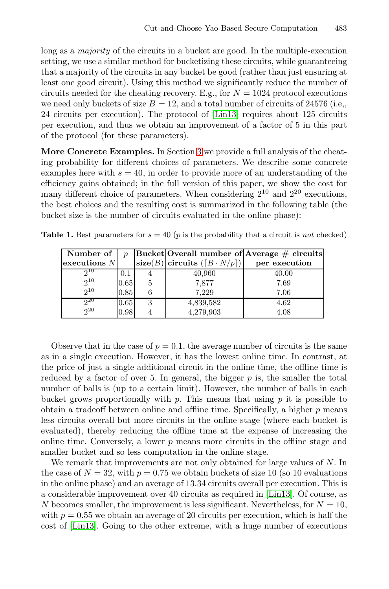long as a *majority* of the circuits in a bucket are good. In the multiple-execution setting, we use a similar method for bucketizing these circuits, while guaranteeing that a majority of the [cir](#page-14-0)cuits in any bucket be good (rather than just ensuring at least one good circuit). Using this method we significantly reduce the number of circuits needed for the cheating recovery. E.g., for  $N = 1024$  protocol executions we need only buckets of size  $B = 12$ , and a total number of circuits of 24576 (i.e., 24 circuits per execution). The protocol of [Lin13] requires about 125 circuits per execution, and thus we obtain an improvement of a factor of 5 in this part of the protocol (for these parameters).

**More Concrete Examples.** In Section 3 we provide a full analysis of the cheating probability for different choices of parameters. We describe some concrete examples here with  $s = 40$ , in order to provide more of an understanding of the efficiency gains obtained; in the full version of this paper, we show the cost for many different choice of parameters. When considering  $2^{10}$  and  $2^{20}$  executions, the best choices and the resulting cost is summarized in the following table (the bucket size is the number of circuits evaluated in the online phase):

**Table 1.** Best parameters for  $s = 40$  (*p* is the probability that a circuit is *not* checked)

| Number of      | $\boldsymbol{\eta}$ |   |                                     | $ Bucket $ Overall number of Average $\#$ circuits |
|----------------|---------------------|---|-------------------------------------|----------------------------------------------------|
| executions $N$ |                     |   | size(B) circuits ( $[B \cdot N/p])$ | per execution                                      |
| $2^{10}$       | 0.1                 |   | 40,960                              | 40.00                                              |
| $2^{10}$       | 0.65                |   | 7,877                               | 7.69                                               |
| $2^{10}$       | 0.85                |   | 7,229                               | 7.06                                               |
| $2^{20}$       | 0.65                | 3 | 4,839,582                           | 4.62                                               |
| $2^{20}$       | 0.98                |   | 4,279,903                           | 4.08                                               |

Observe that in the case of  $p = 0.1$ , the average number of circuits is the same as in a single execution. However, it has the lowest online time. In contrast, at the price of just a single additional circuit in the online time, the offline time is reduced by a factor of over 5. In general, the bigger  $p$  is, the smaller the total number of balls is (up to a certain limit). However, the number of balls in each bucket grows proportionally with p. This means that using  $p$  it is possible to obtain a tradeoff between online and offl[ine tim](#page-17-9)e. Specifically, a higher  $p$  means less circuits overall but more circuits in the online stage (where each bucket is evaluated), thereby reducing the offline time at the expense of increasing the online time. Conversely, a lower  $p$  means more circuits in the offline stage and smaller bucket and so less computation in the online stage.

We remark that improvements are not only obtained for large values of N. In the case of  $N = 32$ , with  $p = 0.75$  we obtain buckets of size 10 (so 10 evaluations in the online phase) and an average of 13.34 circuits overall per execution. This is a considerable improvement over 40 circuits as required in [Lin13]. Of course, as N becomes smaller, the improvement is less significant. Nevertheless, for  $N = 10$ , with  $p = 0.55$  we obtain an average of 20 circuits per execution, which is half the cost of [Lin13]. Going to the other extreme, with a huge number of executions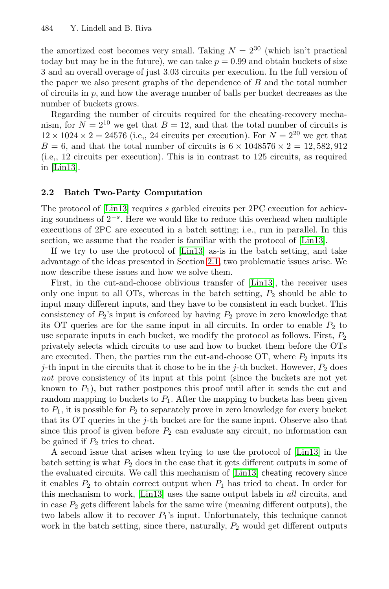<span id="page-8-0"></span>the amortized cost becomes very small. Taking  $N = 2^{30}$  (which isn't practical today but may be in the future), we can take  $p = 0.99$  and obtain buckets of size 3 and an overall overage of just 3.03 circuits per execution. In the full version of the paper we also present graphs of the dependence of  $B$  and the total number of circuits in  $p$ , and how the average number of balls per bucket decreases as the number of buckets grows.

Regarding the number of circuits required for the cheating-recovery mecha[nism](#page-17-9), for  $N = 2^{10}$  we get that  $B = 12$ , and that the total number of circuits is  $12 \times 1024 \times 2 = 24576$  (i.e., 24 circuits per execution). For  $N = 2^{20}$  we get that  $B = 6$ , and that the total number of circuits is  $6 \times 1048576 \times 2 = 12,582,912$ (i.e,, 12 circuits per execution). This is in contr[ast to 1](#page-17-9)25 circuits, as required in [Lin13].

### **2.2 Batch Two-Party Computation**

The protocol of [Lin13] requires s ga[rbled](#page-17-9) [c](#page-17-9)ircuits per 2PC execution for achieving soundness of 2−<sup>s</sup>. Here we would like to reduce this overhead when multiple executions of 2PC are executed in a batch setting; i.e., run in parallel. In this section, we assume that the reader is familiar with the protocol of [Lin13].

If we try to use the protocol of [Lin13] as-is in the batch setting, and take advantage of the ideas presented in Section 2.1, two problematic issues arise. We now describe these issues and how we solve them.

First, in the cut-and-choose oblivious transfer of [Lin13], the receiver uses only one input to all OTs, whereas in the batch setting,  $P_2$  should be able to input many different inputs, and they have to be consistent in each bucket. This consistency of  $P_2$ 's input is enforced by having  $P_2$  prove in zero knowledge that its OT queries are for the same input in all circuits. In order to enable  $P_2$  to use separate inputs in each bucket, we modify the protocol as follows. First,  $P_2$ privately selects which circuits to use and how to bucket them before the OTs are executed. Then, the parties run the cut-and-choose  $\overline{OT}$ , where  $P_2$  inputs its j-th input in the circuits that it chose to be in the j[-th b](#page-17-9)ucket. However,  $P_2$  does *not* prove consistency of its input at this point (since the buckets are not yet known to  $P_1$ ), but rather postp[ones th](#page-17-9)is proof until after it sends the cut and random mapping to buckets to  $P_1$ . After the mapping to buckets has been given to  $P_1$ , i[t is pos](#page-17-9)sible for  $P_2$  to separately prove in zero knowledge for every bucket that its OT queries in the j-th bucket are for the same input. Observe also that since this proof is given before  $P_2$  can evaluate any circuit, no information can be gained if  $P_2$  tries to cheat.

A second issue that arises when trying to use the protocol of [Lin13] in the batch setting is what  $P_2$  does in the case that it gets different outputs in some of the evaluated circuits. We call this mechanism of [Lin13] cheating recovery since it enables  $P_2$  to obtain correct output when  $P_1$  has tried to cheat. In order for this mechanism to work, [Lin13] uses the same output labels in *all* circuits, and in case  $P_2$  gets different labels for the same wire (meaning different outputs), the two labels allow it to recover  $P_1$ 's input. Unfortunately, this technique cannot work in the batch setting, since there, naturally,  $P_2$  would get different outputs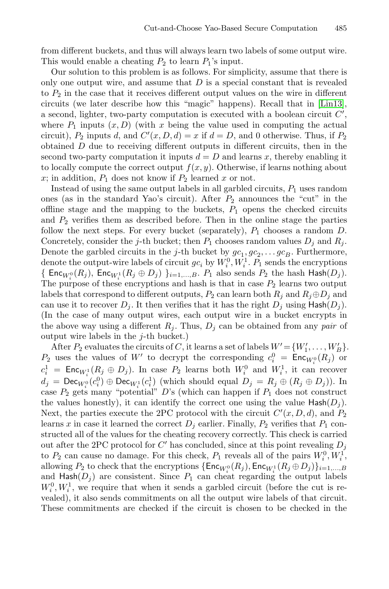from different buckets, and thus will always learn two labels of some output wire. This would enable a cheating  $P_2$  to learn  $P_1$ 's input.

Our solution to this problem is as follows. For simplicity, assume that there is only one output wire, and assume that  $D$  is a special constant that is revealed to  $P_2$  in the case that it receives different output values on the wire in different circuits (we later describe how this "magic" happens). Recall that in [Lin13], a second, lighter, two-party computation is executed with a boolean circuit  $C'$ , where  $P_1$  inputs  $(x, D)$  (with x being the value used in computing the actual circuit),  $P_2$  inputs d, and  $C'(x, D, d) = x$  if  $d = D$ , and 0 otherwise. Thus, if  $P_2$ obtained D due to receiving different outputs in different circuits, then in the second two-party computation it inputs  $d = D$  and learns x, thereby enabling it to locally compute the correct output  $f(x, y)$ . Otherwise, if learns nothing about x; in addition,  $P_1$  does not know if  $P_2$  learned x or not.

Instead of using the same output labels in all garbled circuits,  $P_1$  uses random ones (as in the standard Yao's circuit). After  $P_2$  announces the "cut" in the offline stage and the mapping to the buckets,  $P_1$  opens the checked circuits and  $P_2$  verifies them as described before. Then in the online stage the parties follow the next steps. For every bucket (separately),  $P_1$  chooses a random D. Concretely, consider the j-th bucket; then  $P_1$  chooses random values  $D_j$  and  $R_j$ . Denote the garbled circuits in the j-th bucket by  $gc_1, gc_2, \ldots gc_B$ . Furthermore, denote the output-wire labels of circuit  $gc_i$  by  $W_i^0, W_i^1, P_1$  sends the encryptions {  $\text{Enc}_{W_1^0}(R_j)$ ,  $\text{Enc}_{W_1^1}(R_j \oplus D_j)$  } $_{i=1,...,B}$ .  $P_1$  also sends  $P_2$  the hash  $\text{Hash}(D_j)$ .<br>The purpose of these encryptions and hash is that in case  $P_2$  learns two output The purpose of these encryptions and hash is that in case  $P_2$  learns two output labels that correspond to different outputs,  $P_2$  can learn both  $R_i$  and  $R_j \oplus D_j$  and can use it to recover  $D_j$ . It then verifies that it has the right  $D_j$  using  $\mathsf{Hash}(D_j)$ . (In the case of many output wires, each output wire in a bucket encrypts in the above way using a different  $R_j$ . Thus,  $D_j$  can be obtained from any *pair* of output wire labels in the  $j$ -th bucket.)

After  $P_2$  evaluates the circuits of C, it learns a set of labels  $W' = \{W'_1, \ldots, W'_B\}.$  $P_2$  uses the values of W' to decrypt the corresponding  $c_i^0 = \text{Enc}_{W_i^0}(R_j)$  or  $c_i^1$  = Enc<sub>W<sup>1</sub></sup>( $R_j \oplus D_j$ ). In case  $P_2$  learns both  $W_i^0$  and  $W_i^1$ , it can recover</sub>  $d_j = \text{Dec}_{W_i^0}(c_i^0) \oplus \text{Dec}_{W_i^1}(c_i^1)$  (which should equal  $D_j = R_j \oplus (R_j \oplus D_j)$ ). In case  $P_2$  gets many "potential"  $D$ 's (which can bappen if  $P_2$  does not construct case  $P_2$  gets many "potential" D's (which can happen if  $P_1$  does not construct the values honestly), it can identify the correct one using the value  $\textsf{Hash}(D_i)$ . Next, the parties execute the 2PC protocol with the circuit  $C'(x, D, d)$ , and  $P_2$ learns x in case it learned the correct  $D_i$  earlier. Finally,  $P_2$  verifies that  $P_1$  constructed all of the values for the cheating recovery correctly. This check is carried out after the 2PC protocol for  $C'$  has concluded, since at this point revealing  $D_j$ to  $P_2$  can cause no damage. For this check,  $P_1$  reveals all of the pairs  $W_i^0, W_i^1$ , allowing  $P_2$  to check that the encryptions  $\{Enc_{W_1^0}(R_j), Enc_{W_1^1}(R_j \oplus D_j)\}_{i=1,...,B}$ <br>and Hash(D) are consistent. Since  $P_2$  can cheat regarding the output labels and  $\textsf{Hash}(D_i)$  are consistent. Since  $P_1$  can cheat regarding the output labels  $W_i^0, W_i^1$ , we require that when it sends a garbled circuit (before the cut is revealed), it also sends commitments on all the output wire labels of that circuit. These commitments are checked if the circuit is chosen to be checked in the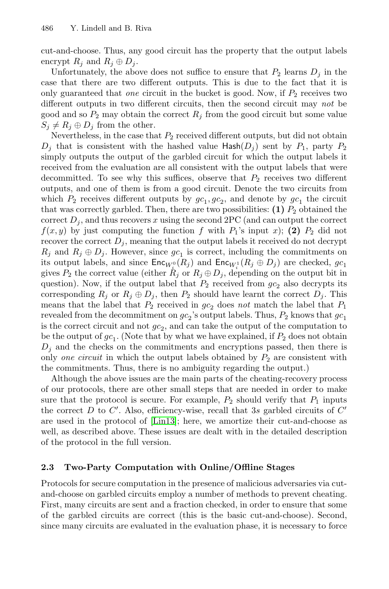cut-and-choose. Thus, any good circuit has the property that the output labels encrypt  $R_i$  and  $R_i \oplus D_i$ .

Unfortunately, the above does not suffice to ensure that  $P_2$  learns  $D_i$  in the case that there are two different outputs. This is due to the fact that it is only guaranteed that *one* circuit in the bucket is good. Now, if  $P_2$  receives two different outputs in two different circuits, then the second circuit may *not* be good and so  $P_2$  may obtain the correct  $R_j$  from the good circuit but some value  $S_i \neq R_i \oplus D_i$  from the other.

Nevertheless, in the case that  $P_2$  received different outputs, but did not obtain  $D_i$  that is consistent with the hashed value Hash $(D_i)$  sent by  $P_1$ , party  $P_2$ simply outputs the output of the garbled circuit for which the output labels it received from the evaluation are all consistent with the output labels that were decommitted. To see why this suffices, observe that  $P_2$  receives two different outputs, and one of them is from a good circuit. Denote the two circuits from which  $P_2$  receives different outputs by  $gc_1, gc_2,$  and denote by  $gc_1$  the circuit that was correctly garbled. Then, there are two possibilities:  $(1)$   $P_2$  obtained the correct  $D_i$ , and thus recovers x using the second 2PC (and can output the correct  $f(x, y)$  by just computing the function f with  $P_1$ 's input x); (2)  $P_2$  did not recover the correct  $D_j$ , meaning that the output labels it received do not decrypt  $R_j$  and  $R_j \oplus D_j$ . However, since  $gc_1$  is correct, including the commitments on its output labels, and since  $\mathsf{Enc}_{W_1^0}(R_j)$  and  $\mathsf{Enc}_{W_1^1}(R_j \oplus D_j)$  are checked,  $gc_1$  or  $B_1$  the correct value (either  $\mathring{B}_i$ , or  $B_i \oplus D_j$ , depending on the output bit in gives  $P_2$  the correct value (either  $R_j$  or  $R_j \oplus D_j$ , depending on the output bit in question). Now, if the output label that  $P_2$  received from  $gc_2$  also decrypts its corresponding  $R_i$  or  $R_i \oplus D_i$ , then  $P_2$  should have learnt the correct  $D_i$ . This means that the label that  $P_2$  received in  $gc_2$  does *not* match the label that  $P_1$ revealed from the decommitment on  $gc_2$ 's output labels. Thus,  $P_2$  knows that  $gc_1$ is the correct circuit and not  $gc_2$ , and can take the output of the computation to be the out[put of](#page-17-9)  $gc_1$ . (Note that by what we have explained, if  $P_2$  does not obtain  $D_i$  and the checks on the commitments and encryptions passed, then there is only *one circuit* in which the output labels obtained by  $P_2$  are consistent with the commitments. Thus, there is no ambiguity regarding the output.)

<span id="page-10-0"></span>Although the above issues are the main parts of the cheating-recovery process of our protocols, there are other small steps that are needed in order to make sure that the protocol is secure. For example,  $P_2$  should verify that  $P_1$  inputs the correct  $D$  to  $C'$ . Also, efficiency-wise, recall that 3s garbled circuits of  $C'$ are used in the protocol of [Lin13]; here, we amortize their cut-and-choose as well, as described above. These issues are dealt with in the detailed description of the protocol in the full version.

# **2.3 Two-Party Computation with Online/Offline Stages**

Protocols for secure computation in the presence of malicious adversaries via cutand-choose on garbled circuits employ a number of methods to prevent cheating. First, many circuits are sent and a fraction checked, in order to ensure that some of the garbled circuits are correct (this is the basic cut-and-choose). Second, since many circuits are evaluated in the evaluation phase, it is necessary to force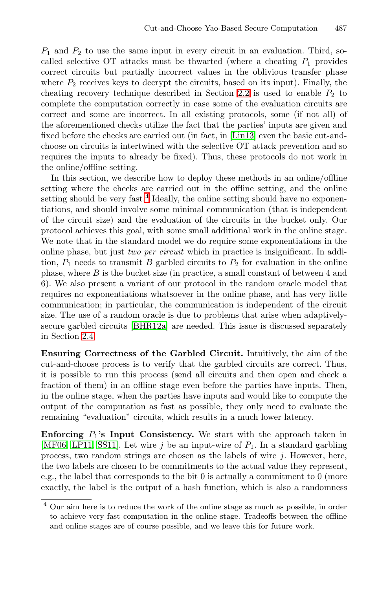$P_1$  and  $P_2$  to use the same in[put in](#page-17-9) every circuit in an evaluation. Third, socalled selective OT attacks must be thwarted (where a cheating  $P_1$  provides correct circuits but partially incorrect values in the oblivious transfer phase where  $P_2$  receives keys to decrypt the circuits, based on its input). Finally, the cheating recovery technique described in Section 2.2 is used to enable  $P_2$  to complete the computation correctly in case some of the evaluation circuits are correct [an](#page-11-0)d some are incorrect. In all existing protocols, some (if not all) of the aforementioned checks utilize the fact that the parties' inputs are given and fixed before the checks are carried out (in fact, in [Lin13] even the basic cut-andchoose on circuits is intertwined with the selective OT attack prevention and so requires the inputs to already be fixed). Thus, these protocols do not work in the online/offline setting.

In this section, we describe how to deploy these methods in an online/offline setting where the checks are carried out in the offline setting, and the online setting should be very fast.<sup>4</sup> Ideally, the online setting should have no exponentiations, and should involve some minimal communication (that is independent of the circuit size) and the evaluation of the circuits in the bucket only. Our protocol achieves this goal, with some small additional work in the online stage. We n[ote that i](#page-17-13)n the standard model we do require some exponentiations in the online phase, but just *two per circuit* which in practice is insignificant. In addition,  $P_1$  needs to transmit B garbled circuits to  $P_2$  for evaluation in the online phase, where  $B$  is the bucket size (in practice, a small constant of between 4 and 6). We also present a variant of our protocol in the random oracle model that requires no exponentiations whatsoever in the online phase, and has very little communication; in particular, the communication is independent of the circuit size. The use of a random oracle is due to problems that arise when adaptivelysecure garbled circuits [BHR12a] are needed. This issue is discussed separately in Section 2.4.

<span id="page-11-0"></span>**Ensuring Correctness of the Garbled Circuit.** Intuitively, the aim of the [cu](#page-18-3)t-and-choose process is to verify that the garbled circuits are correct. Thus, it is possible to run this process (send all circuits and then open and check a fraction of them) in an offline stage even before the parties have inputs. Then, in the online stage, when the parties have inputs and would like to compute the output of the computation as fast as possible, they only need to evaluate the remaining "evaluation" circuits, which results in a much lower latency.

**Enforcing**  $P_1$ 's Input Consistency. We start with the approach taken in [MF06, LP11, SS11]. Let wire j be an input-wire of  $P_1$ . In a standard garbling process, two random strings are chosen as the labels of wire  $j$ . However, here, the two labels are chosen to be commitments to the actual value they represent, e.g., the label that corresponds to the bit 0 is actually a commitment to 0 (more exactly, the label is the output of a hash function, which is also a randomness

<sup>4</sup> Our aim here is to reduce the work of the online stage as much as possible, in order to achieve very fast computation in the online stage. Tradeoffs between the offline and online stages are of course possible, and we leave this for future work.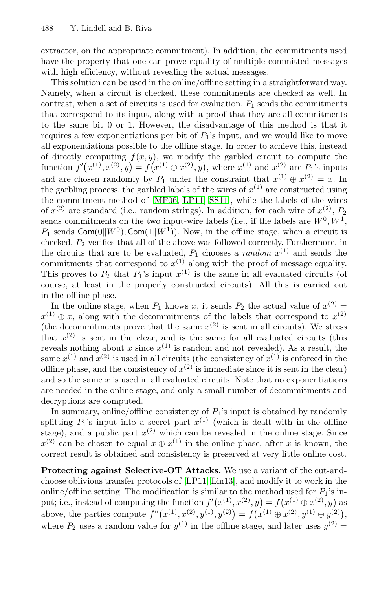extractor, on the appropriate commitment). In addition, the commitments used have the property that one can prove equality of multiple committed messages with high efficiency, without revealing the actual messages.

This solution can be used in the online/offline setting in a straightforward way. Namely, when a circuit is checked, these commitments are checked as well. In contrast, when a set of circuits is used for evaluation,  $P_1$  sends the commitments that corres[pond to](#page-17-14) [its in](#page-17-8)[put, al](#page-18-3)ong with a proof that they are all commitments to the same bit 0 or 1. However, the disadvantage of this method is that it requires a few exponentiations per bit of  $P_1$ 's input, and we would like to move all exponentiations possible to the offline stage. In order to achieve this, instead of directly computing  $f(x, y)$ , we modify the garbled circuit to compute the function  $f'(x^{(1)}, x^{(2)}, y) = f(x^{(1)} \oplus x^{(2)}, y)$ , where  $x^{(1)}$  and  $x^{(2)}$  are  $P_1$ 's inputs and are chosen randomly by  $P_1$  under the constraint that  $x^{(1)} \oplus x^{(2)} = x$ . In the garbling process, the garbled labels of the wires of  $x^{(1)}$  are constructed using the commitment method of [MF06, LP11, SS11], while the labels of the wires of  $x^{(2)}$  are standard (i.e., random strings). In addition, for each wire of  $x^{(2)}$ ,  $P_2$ sends commitments on the two input-wire labels (i.e., if the labels are  $W^0, W^1$ ,  $P_1$  sends  $\textsf{Com}(0||W^0)$ ,  $\textsf{Com}(1||W^1)$ ). Now, in the offline stage, when a circuit is checked,  $P_2$  verifies that all of the above was followed correctly. Furthermore, in the circuits that are to be evaluated,  $P_1$  chooses a *random*  $x^{(1)}$  and sends the commitments that correspond to  $x^{(1)}$  along with the proof of message equality. This proves to  $P_2$  that  $P_1$ 's input  $x^{(1)}$  is the same in all evaluated circuits (of course, at least in the properly constructed circuits). All this is carried out in the offline phase.

In the online stage, when  $P_1$  knows x, it sends  $P_2$  the actual value of  $x^{(2)} =$  $x^{(1)} \oplus x$ , along with the decommitments of the labels that correspond to  $x^{(2)}$ (the decommitments prove that the same  $x^{(2)}$  is sent in all circuits). We stress that  $x^{(2)}$  is sent in the clear, and is the same for all evaluated circuits (this reveals nothing about x since  $x^{(1)}$  is random and not revealed). As a result, the same  $x^{(1)}$  and  $x^{(2)}$  is used in all circuits (the consistency of  $x^{(1)}$  is enforced in the offline phase, and the consistency of  $x^{(2)}$  is immediate since it is sent in the clear) and so the same  $x$  is used in all evaluated circuits. Note that no exponentiations are needed in the online stage, and only a small number of decommitments and decryptions are co[mputed](#page-17-8)[.](#page-17-9)

In summary, online/offline consistency of  $P_1$ 's input is obtained by randomly splitting  $P_1$ 's input into a secret part  $x^{(1)}$  (which is dealt with in the offline stage), and a public part  $x^{(2)}$  which can be revealed in the online stage. Since  $x^{(2)}$  can be chosen to equal  $x \oplus x^{(1)}$  in the online phase, after x is known, the correct result is obtained and consistency is preserved at very little online cost.

**Protecting against Selective-OT Attacks.** We use a variant of the cut-andchoose oblivious transfer protocols of [LP11, Lin13], and modify it to work in the online/offline setting. The modification is similar to the method used for  $P_1$ 's input; i.e., instead of computing the function  $f'(x^{(1)}, x^{(2)}, y) = f(x^{(1)} \oplus x^{(2)}, y)$  as above, the parties compute  $f''(x^{(1)}, x^{(2)}, y^{(1)}, y^{(2)}) = f(x^{(1)} \oplus x^{(2)}, y^{(1)} \oplus y^{(2)}),$ where  $P_2$  uses a random value for  $y^{(1)}$  in the offline stage, and later uses  $y^{(2)} =$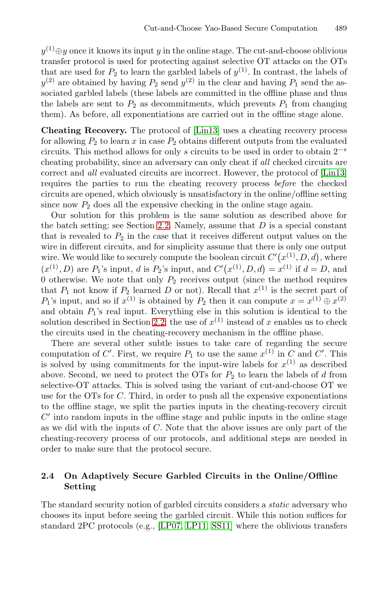$y^{(1)} \oplus y$  once it knows i[ts inpu](#page-17-9)t y in the online stage. The cut-and-choose oblivious transfer protocol is used for protecting against selective OT attacks on the OTs that are used for  $P_2$  to learn the garbled labels of  $y^{(1)}$ . In contrast, the labels of  $y^{(2)}$  are obtained by having  $P_2$  send  $y^{(2)}$  in the clear and having  $P_1$  send the associated garbled labels (these labels are committed in t[he offli](#page-17-9)ne phase and thus the labels are sent to  $P_2$  as decommitments, which prevents  $P_1$  from changing them). As before, all exponentiations are carried out in the offline stage alone.

**Cheating Recovery.** The protocol of [Lin13] uses a cheating recovery process for allowing  $P_2$  $P_2$  to learn x in case  $P_2$  obtains different outputs from the evaluated circuits. This method allows for only s circuits to be used in order to obtain  $2^{-s}$ cheating probability, since an adversary can only cheat if *all* checked circuits are correct and *all* evaluated circuits are incorrect. However, the protocol of [Lin13] requires the parties to run the cheating recovery process *before* the checked circuits are opened, which obviously is unsatisfactory in the online/offline setting since now  $P_2$  does all the expensive checking in the online stage again.

Our solution for this problem is the same solution as described above for the batch setting; see Section 2.2. Namely, assume that  $D$  is a special constant that is rev[ealed](#page-8-0) to  $P_2$  in the case that it receives different output values on the wire in different circuits, and for simplicity assume that there is only one output wire. We would like to securely compute the boolean circuit  $C'(x^{(1)}, D, d)$ , where  $(x^{(1)}, D)$  are  $P_1$ 's input, d is  $P_2$ 's input, and  $C'(x^{(1)}, D, d) = x^{(1)}$  if  $d = D$ , and 0 otherwise. We note that only  $P_2$  receives output (since the method requires that  $P_1$  not know if  $P_2$  learned D or not). Recall that  $x^{(1)}$  is the secret part of  $P_1$ 's input, and so if  $x^{(1)}$  is obtained by  $P_2$  then it can compute  $x = x^{(1)} \oplus x^{(2)}$ and obtain  $P_1$ 's real input. Everything else in this solution is identical to the solution described in Section 2.2; the use of  $x^{(1)}$  instead of x enables us to check the circuits used in the cheating-recovery mechanism in the offline phase.

There are several other subtle issues to take care of regarding the secure computation of C'. First, we require  $P_1$  to use the same  $x^{(1)}$  in C and C'. This is solved by using commitments for the input-wire labels for  $x^{(1)}$  as described above. Second, we need to protect the OTs for  $P_2$  to learn the labels of d from selective-OT attacks. This is solved using the variant of cut-and-choose OT we use for the OTs for C. Third, in order to push all the expensive exponentiations to the offline stage, we split the parties inputs in the cheating-recovery circuit  $C'$  into random inputs in the offline stage and public inputs in the online stage as we did with the inputs of C. Note that the above issues are only part of the cheating-recovery process of our protocols, and additional steps are needed in order to ma[ke](#page-17-15) [sure](#page-17-15) [that](#page-17-8) [t](#page-17-8)[he](#page-18-3) [pro](#page-18-3)tocol secure.

# **2.4 On Adaptively Secure Garbled Circuits in the Online/Offline Setting**

The standard security notion of garbled circuits considers a *static* adversary who chooses its input before seeing the garbled circuit. While this notion suffices for standard 2PC protocols (e.g., [LP07, LP11, SS11] where the oblivious transfers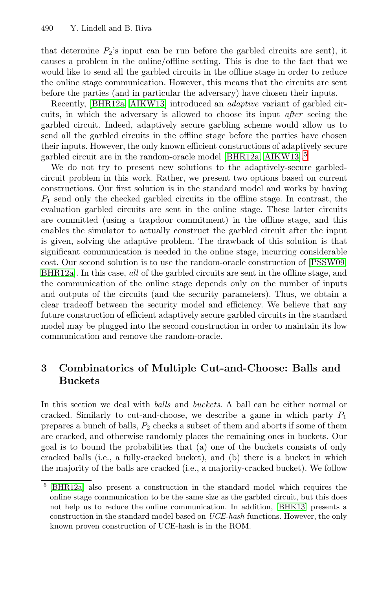that determine  $P_2$ 's input can be run before the garbled circuits are sent), it causes a problem in the online/offline setting. This is due to the fact that we would like to send all the gar[bled circu](#page-17-13)i[ts in the o](#page-16-1)[ffl](#page-14-1)ine stage in order to reduce the online stage communication. However, this means that the circuits are sent before the parties (and in particular the adversary) have chosen their inputs.

Recently, [BHR12a, AIKW13] introduced an *adaptive* variant of garbled circuits, in which the adversary is allowed to choose its input *after* seeing the garbled circuit. Indeed, adaptively secure garbling scheme would allow us to send all the garbled circuits in the offline stage before the parties have chosen their inputs. However, the only known efficient constructions of adaptively secure garbled circuit are in the random-oracle model [BHR12a, AIKW13].<sup>5</sup>

<span id="page-14-0"></span>We do not try to present new solutions to the adaptively-secure garbledcircuit problem in this work. Rather, we present t[wo options](#page-18-6) based on current constructions. Our first solution is in the standard model and works by having  $P_1$  send only the checked garbled circuits in the offline stage. In contrast, the evaluation garbled circuits are sent in the online stage. These latter circuits are committed (using a trapdoor commitment) in the offline stage, and this enables the simulator to actually construct the garbled circuit after the input is given, solving the adaptive problem. The drawback of this solution is that significant communication is needed in the online stage, incurring considerable cost. Our second solution is to use the random-oracle construction of [PSSW09, BHR12a]. In this case, *all* of the garbled circuits are sent in the offline stage, and the communication of the online stage depends only on the number of inputs and outputs of the circuits (and the security parameters). Thus, we obtain a clear tradeoff between the security model and efficiency. We believe that any future construction of efficient adaptively secure garbled circuits in the standard model may be plugged into the second construction in order to maintain its low communication and remove the random-oracle.

# <span id="page-14-1"></span>**3 Combinatorics of Multiple Cut-and-Choose: Balls and Buckets**

In this section we deal with *balls* and *buckets*. A ball can be either normal or cracked. Similarly to cut-and-choose, we describe a game in which party  $P_1$ prepares a bunch of balls,  $P_2$  checks a subse[t of them](#page-16-2) and aborts if some of them are cracked, and otherwise randomly places the remaining ones in buckets. Our goal is to bound the probabilities that (a) one of the buckets consists of only cracked balls (i.e., a fully-cracked bucket), and (b) there is a bucket in which the majority of the balls are cracked (i.e., a majority-cracked bucket). We follow

<sup>5</sup> [BHR12a] also present a construction in the standard model which requires the online stage communication to be the same size as the garbled circuit, but this does not help us to reduce the online communication. In addition, [BHK13] presents a construction in the standard model based on *UCE-hash* functions. However, the only known proven construction of UCE-hash is in the ROM.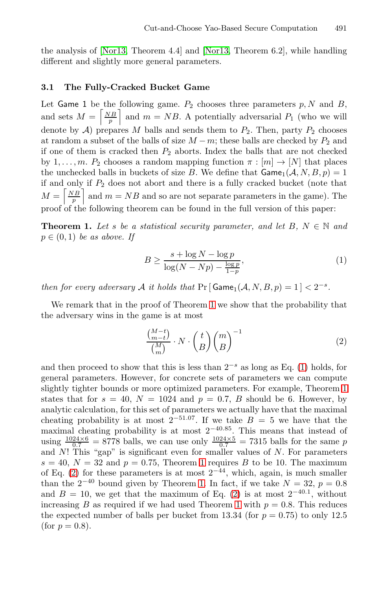<span id="page-15-0"></span>the analysis of [Nor13, Theorem 4.4] and [Nor13, Theorem 6.2], while handling different and slightly more general parameters.

## <span id="page-15-1"></span>**3.1 The Fully-Cracked Bucket Game**

Let Game 1 be the following game.  $P_2$  chooses three parameters  $p, N$  and  $B$ , and sets  $M = \left\lceil \frac{NB}{p} \right\rceil$  and  $m = NB$ . A potentially adversarial  $P_1$  (who we will denote by  $A$ ) prepares M balls and sends them to  $P_2$ . Then, party  $P_2$  chooses at random a subset of the balls of size  $M - m$ ; these balls are checked by  $P_2$  and if one of them is cracked then  $P_2$  aborts. Index the balls that are not checked by 1,...,m.  $P_2$  chooses a random mapping function  $\pi : [m] \to [N]$  that places the unchecked balls in buckets of size B. We define that  $\mathsf{Game}_1(\mathcal{A}, N, B, p)=1$ if and only if  $P_2$  does not abort and there is a fully cracked bucket (note that  $M = \left\lceil \frac{NB}{p} \right\rceil$  and  $m = NB$  and so are not separate parameters in the game). The proof of the following theorem can be found in the full version of this paper:

**Theorem 1.** Let s be a [st](#page-15-0)atistical security parameter, and let  $B, N \in \mathbb{N}$  and  $p \in (0,1)$  *be as above.* If

<span id="page-15-2"></span>
$$
B \ge \frac{s + \log N - \log p}{\log(N - Np) - \frac{\log p}{1 - p}},\tag{1}
$$

*then for every adversary* A *it holds that*  $Pr[\text{Game}_1(\mathcal{A}, N, B, p) = 1] < 2^{-s}$  $Pr[\text{Game}_1(\mathcal{A}, N, B, p) = 1] < 2^{-s}$  $Pr[\text{Game}_1(\mathcal{A}, N, B, p) = 1] < 2^{-s}$ .

We remark [th](#page-15-0)at in the proof of Theorem 1 we show that the probability that the adversary wins in the game is at most

$$
\frac{\binom{M-t}{m-t}}{\binom{M}{m}} \cdot N \cdot \binom{t}{B} \binom{m}{B}^{-1} \tag{2}
$$

and then proceed to show that this is less than  $2^{-s}$  as long as Eq. (1) holds, for general parameters. H[ow](#page-15-0)ever, for concrete sets of parameters we can compute slightly tighter bounds or more optimized parameters. For example, Theorem 1 states that for  $s = 40$ ,  $N = 1024$  and  $p = 0.7$ , B should be 6. However, by analytic calculation, for this set [of](#page-15-2) parameters we actually have that the maximal cheating probability is at most  $2^{-51.07}$ . If we take  $B = 5$  we have that the maximal cheating probability is at most  $2^{-40.85}$ . This means that instead of using  $\frac{1024\times6}{0.7}$  = 8778 balls, we can use only  $\frac{1024\times5}{0.7}$  = 7315 balls for the same p and  $N!$  This "gap" is significant even for smaller values of  $N$ . For parameters  $s = 40, N = 32$  and  $p = 0.75$ , Theorem 1 requires B to be 10. The maximum of Eq. (2) for these parameters is at most  $2^{-44}$ , which, again, is much smaller than the  $2^{-40}$  bound given by Theorem 1. In fact, if we take  $N = 32$ ,  $p = 0.8$ and  $B = 10$ , we get that the maximum of Eq. (2) is at most  $2^{-40.1}$ , without increasing B as required if we had used Theorem 1 with  $p = 0.8$ . This reduces the expected number of balls per bucket from 13.34 (for  $p = 0.75$ ) to only 12.5 (for  $p = 0.8$ ).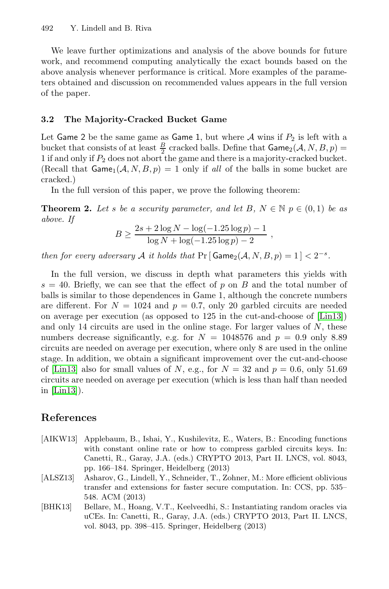We leave further optimizations and analysis of the above bounds for future work, and recommend computing analytically the exact bounds based on the above analysis whenever performance is critical. More examples of the parameters obtained and discussion on recommended values appears in the full version of the paper.

### **3.2 The Majority-Cracked Bucket Game**

Let Game 2 be the same game as Game 1, but where  $A$  wins if  $P_2$  is left with a bucket that consists of at least  $\frac{B}{2}$  cracked balls. Define that  $\textsf{Game}_2(\mathcal{A},N,B,p) = 1$  if and only if  $P_2$  does not about the game and there is a majority-cracked bucket. 1 if and only if  $P_2$  does not abort the game and there is a majority-cracked bucket. (Recall that  $\text{Game}_1(\mathcal{A}, N, B, p) = 1$  only if *all* of the balls in some bucket are cracked.)

In the full version of this paper, we prove the following theorem:

**Theorem 2.** Let s be a security parameter, and let B,  $N \in \mathbb{N}$   $p \in (0,1)$  be as *above. If*

$$
B \ge \frac{2s + 2\log N - \log(-1.25\log p) - 1}{\log N + \log(-1.25\log p) - 2} ,
$$

*then for every adversary* A *it holds that*  $Pr[\text{Game}_2(\mathcal{A}, N, B, p) = 1] < 2^{-s}$ .

<span id="page-16-1"></span><span id="page-16-0"></span>In the full version, we discuss in depth what parameters this yields with  $s = 40$ . Briefly, we can see that the effect of p on B and the total number of balls is similar to those dependences in Game 1, although the concrete numbers are different. For  $N = 1024$  and  $p = 0.7$ , only 20 garbled circuits are needed on average per execution (as opposed to 125 in the cut-and-choose of [Lin13]) and only 14 circuits are used in the online stage. For larger values of  $N$ , these numbers decrease significantly, e.g. for  $N = 1048576$  and  $p = 0.9$  only 8.89 circuits are needed on average per execution, where only 8 are used in the online stage. In addition, we obtain a significant improvement over the cut-and-choose of [Lin13] also for small values of N, e.g., for  $N = 32$  and  $p = 0.6$ , only 51.69 circuits are needed on average per execution (which is less than half than needed in [Lin13]).

# <span id="page-16-2"></span>**References**

- [AIKW13] Applebaum, B., Ishai, Y., Kushilevitz, E., Waters, B.: Encoding functions with constant online rate or how to compress garbled circuits keys. In: Canetti, R., Garay, J.A. (eds.) CRYPTO 2013, Part II. LNCS, vol. 8043, pp. 166–184. Springer, Heidelberg (2013)
- [ALSZ13] Asharov, G., Lindell, Y., Schneider, T., Zohner, M.: More efficient oblivious transfer and extensions for faster secure computation. In: CCS, pp. 535– 548. ACM (2013)
- [BHK13] Bellare, M., Hoang, V.T., Keelveedhi, S.: Instantiating random oracles via uCEs. In: Canetti, R., Garay, J.A. (eds.) CRYPTO 2013, Part II. LNCS, vol. 8043, pp. 398–415. Springer, Heidelberg (2013)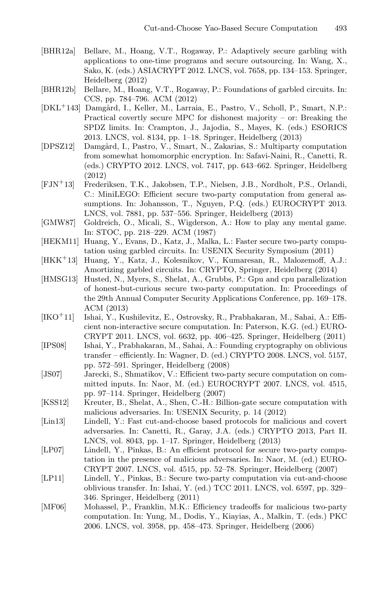- <span id="page-17-13"></span><span id="page-17-7"></span><span id="page-17-2"></span>[BHR12a] Bellare, M., Hoang, V.T., Rogaway, P.: Adaptively secure garbling with applications to one-time programs and secure outsourcing. In: Wang, X., Sako, K. (eds.) ASIACRYPT 2012. LNCS, vol. 7658, pp. 134–153. Springer, Heidelberg (2012)
- <span id="page-17-6"></span>[BHR12b] Bellare, M., Hoang, V.T., Rogaway, P.: Foundations of garbled circuits. In: CCS, pp. 784–796. ACM (2012)
- <span id="page-17-5"></span>[DKL<sup>+</sup>143] Damgård, I., Keller, M., Larraia, E., Pastro, V., Scholl, P., Smart, N.P.: Practical covertly secure MPC for dishonest majority – or: Breaking the SPDZ limits. In: Crampton, J., Jajodia, S., Mayes, K. (eds.) ESORICS 2013. LNCS, vol. 8134, pp. 1–18. Springer, Heidelberg (2013)
- <span id="page-17-0"></span>[DPSZ12] Damgård, I., Pastro, V., Smart, N., Zakarias, S.: Multiparty computation from somewhat homomorphic encryption. In: Safavi-Naini, R., Canetti, R. (eds.) CRYPTO 2012. LNCS, vol. 7417, pp. 643–662. Springer, Heidelberg (2012)
- <span id="page-17-12"></span><span id="page-17-1"></span>[FJN+13] Frederiksen, T.K., Jakobsen, T.P., Nielsen, J.B., Nordholt, P.S., Orlandi, C.: MiniLEGO: Efficient secure two-party computation from general assumptions. In: Johansson, T., Nguyen, P.Q. (eds.) EUROCRYPT 2013. LNCS, vol. 7881, pp. 537–556. Springer, Heidelberg (2013)
- <span id="page-17-11"></span>[GMW87] Goldreich, O., Micali, S., Wigderson, A.: How to play any mental game. In: STOC, pp. 218–229. ACM (1987)
- <span id="page-17-4"></span>[HEKM11] Huang, Y., Evans, D., Katz, J., Malka, L.: Faster secure two-party computation using garbled circuits. In: USENIX Security Symposium (2011)
- [HKK+13] Huang, Y., Katz, J., Kolesnikov, V., Kumaresan, R., Malozemoff, A.J.: Amortizing garbled circuits. In: CRYPTO, Springer, Heidelberg (2014)
- [HMSG13] Husted, N., Myers, S., Shelat, A., Grubbs, P.: Gpu and cpu parallelization of honest-but-curious secure two-party computation. In: Proceedings of the 29th Annual Computer Security Applications Conference, pp. 169–178. ACM (2013)
- <span id="page-17-10"></span><span id="page-17-3"></span>[IKO+11] Ishai, Y., Kushilevitz, E., Ostrovsky, R., Prabhakaran, M., Sahai, A.: Efficient non-interactive secure computation. In: Paterson, K.G. (ed.) EURO-CRYPT 2011. LNCS, vol. 6632, pp. 406–425. Springer, Heidelberg (2011)
- <span id="page-17-9"></span>[IPS08] Ishai, Y., Prabhakaran, M., Sahai, A.: Founding cryptography on oblivious transfer – efficiently. In: Wagner, D. (ed.) CRYPTO 2008. LNCS, vol. 5157, pp. 572–591. Springer, Heidelberg (2008)
- <span id="page-17-15"></span>[JS07] Jarecki, S., Shmatikov, V.: Efficient two-party secure computation on committed inputs. In: Naor, M. (ed.) EUROCRYPT 2007. LNCS, vol. 4515, pp. 97–114. Springer, Heidelberg (2007)
- <span id="page-17-8"></span>[KSS12] Kreuter, B., Shelat, A., Shen, C.-H.: Billion-gate secure computation with malicious adversaries. In: USENIX Security, p. 14 (2012)
- <span id="page-17-14"></span>[Lin13] Lindell, Y.: Fast cut-and-choose based protocols for malicious and covert adversaries. In: Canetti, R., Garay, J.A. (eds.) CRYPTO 2013, Part II. LNCS, vol. 8043, pp. 1–17. Springer, Heidelberg (2013)
- [LP07] Lindell, Y., Pinkas, B.: An efficient protocol for secure two-party computation in the presence of malicious adversaries. In: Naor, M. (ed.) EURO-CRYPT 2007. LNCS, vol. 4515, pp. 52–78. Springer, Heidelberg (2007)
- [LP11] Lindell, Y., Pinkas, B.: Secure two-party computation via cut-and-choose oblivious transfer. In: Ishai, Y. (ed.) TCC 2011. LNCS, vol. 6597, pp. 329– 346. Springer, Heidelberg (2011)
- [MF06] Mohassel, P., Franklin, M.K.: Efficiency tradeoffs for malicious two-party computation. In: Yung, M., Dodis, Y., Kiayias, A., Malkin, T. (eds.) PKC 2006. LNCS, vol. 3958, pp. 458–473. Springer, Heidelberg (2006)